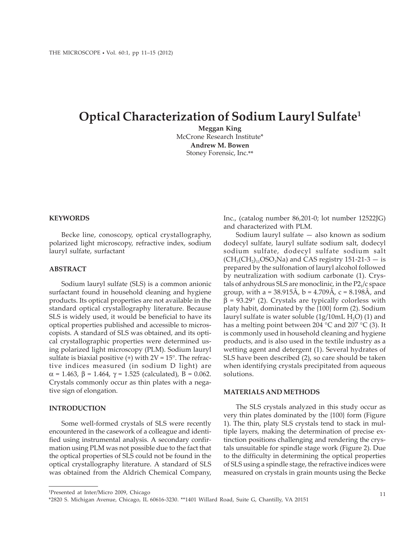# **Optical Characterization of Sodium Lauryl Sulfate1**

**Meggan King** McCrone Research Institute\* **Andrew M. Bowen** Stoney Forensic, Inc.\*\*

### **KEYWORDS**

Becke line, conoscopy, optical crystallography, polarized light microscopy, refractive index, sodium lauryl sulfate, surfactant

#### **ABSTRACT**

Sodium lauryl sulfate (SLS) is a common anionic surfactant found in household cleaning and hygiene products. Its optical properties are not available in the standard optical crystallography literature. Because SLS is widely used, it would be beneficial to have its optical properties published and accessible to microscopists. A standard of SLS was obtained, and its optical crystallographic properties were determined using polarized light microscopy (PLM). Sodium lauryl sulfate is biaxial positive  $(+)$  with  $2V = 15^\circ$ . The refractive indices measured (in sodium D light) are α = 1.463, β = 1.464, γ = 1.525 (calculated), B = 0.062. Crystals commonly occur as thin plates with a negative sign of elongation.

#### **INTRODUCTION**

Some well-formed crystals of SLS were recently encountered in the casework of a colleague and identified using instrumental analysis. A secondary confirmation using PLM was not possible due to the fact that the optical properties of SLS could not be found in the optical crystallography literature. A standard of SLS was obtained from the Aldrich Chemical Company, Inc., (catalog number 86,201-0; lot number 12522JG) and characterized with PLM.

Sodium lauryl sulfate — also known as sodium dodecyl sulfate, lauryl sulfate sodium salt, dodecyl sodium sulfate, dodecyl sulfate sodium salt  $(CH<sub>3</sub>(CH<sub>2</sub>)<sub>11</sub>OSO<sub>3</sub>Na)$  and CAS registry 151-21-3 – is prepared by the sulfonation of lauryl alcohol followed by neutralization with sodium carbonate (1). Crystals of anhydrous SLS are monoclinic, in the  $P2<sub>1</sub>/c$  space group, with a = 38.915Å, b = 4.709Å, c = 8.198Å, and  $β = 93.29°$  (2). Crystals are typically colorless with platy habit, dominated by the {100} form (2). Sodium lauryl sulfate is water soluble  $(1g/10mL H<sub>2</sub>O)(1)$  and has a melting point between 204 °C and 207 °C (3). It is commonly used in household cleaning and hygiene products, and is also used in the textile industry as a wetting agent and detergent (1). Several hydrates of SLS have been described (2), so care should be taken when identifying crystals precipitated from aqueous solutions.

# **MATERIALS AND METHODS**

The SLS crystals analyzed in this study occur as very thin plates dominated by the {100} form (Figure 1). The thin, platy SLS crystals tend to stack in multiple layers, making the determination of precise extinction positions challenging and rendering the crystals unsuitable for spindle stage work (Figure 2). Due to the difficulty in determining the optical properties of SLS using a spindle stage, the refractive indices were measured on crystals in grain mounts using the Becke

<sup>1</sup> Presented at Inter/Micro 2009, Chicago

<sup>\*2820</sup> S. Michigan Avenue, Chicago, IL 60616-3230. \*\*1401 Willard Road, Suite G, Chantilly, VA 20151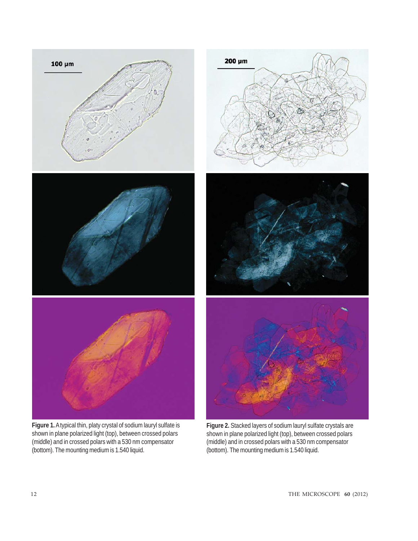

**Figure 1.** A typical thin, platy crystal of sodium lauryl sulfate is shown in plane polarized light (top), between crossed polars (middle) and in crossed polars with a 530 nm compensator (bottom). The mounting medium is 1.540 liquid.

**Figure 2.** Stacked layers of sodium lauryl sulfate crystals are shown in plane polarized light (top), between crossed polars (middle) and in crossed polars with a 530 nm compensator (bottom). The mounting medium is 1.540 liquid.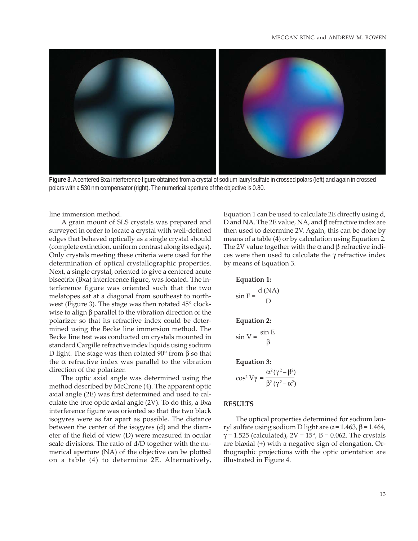

**Figure 3.** A centered Bxa interference figure obtained from a crystal of sodium lauryl sulfate in crossed polars (left) and again in crossed polars with a 530 nm compensator (right). The numerical aperture of the objective is 0.80.

line immersion method.

A grain mount of SLS crystals was prepared and surveyed in order to locate a crystal with well-defined edges that behaved optically as a single crystal should (complete extinction, uniform contrast along its edges). Only crystals meeting these criteria were used for the determination of optical crystallographic properties. Next, a single crystal, oriented to give a centered acute bisectrix (Bxa) interference figure, was located. The interference figure was oriented such that the two melatopes sat at a diagonal from southeast to northwest (Figure 3). The stage was then rotated 45° clockwise to align β parallel to the vibration direction of the polarizer so that its refractive index could be determined using the Becke line immersion method. The Becke line test was conducted on crystals mounted in standard Cargille refractive index liquids using sodium D light. The stage was then rotated  $90^\circ$  from β so that the  $α$  refractive index was parallel to the vibration direction of the polarizer.

The optic axial angle was determined using the method described by McCrone (4). The apparent optic axial angle (2E) was first determined and used to calculate the true optic axial angle (2V). To do this, a Bxa interference figure was oriented so that the two black isogyres were as far apart as possible. The distance between the center of the isogyres (d) and the diameter of the field of view (D) were measured in ocular scale divisions. The ratio of d/D together with the numerical aperture (NA) of the objective can be plotted on a table (4) to determine 2E. Alternatively, Equation 1 can be used to calculate 2E directly using d, D and NA. The 2E value, NA, and β refractive index are then used to determine 2V. Again, this can be done by means of a table (4) or by calculation using Equation 2. The 2V value together with the  $\alpha$  and  $\beta$  refractive indices were then used to calculate the γ refractive index by means of Equation 3.

**Equation 1:**

$$
\sin E = \frac{d \text{ (NA)}}{D}
$$
  
Equation 2:  

$$
\sin V = \frac{\sin E}{R}
$$

$$
\sin V = \frac{1}{\beta}
$$

**Equation 3:**

$$
\cos^2 V\gamma = \frac{\alpha^2(\gamma^2 - \beta^2)}{\beta^2(\gamma^2 - \alpha^2)}
$$

#### **RESULTS**

The optical properties determined for sodium lauryl sulfate using sodium D light are  $\alpha$  = 1.463, β = 1.464,  $\gamma$  = 1.525 (calculated), 2V = 15°, B = 0.062. The crystals are biaxial (+) with a negative sign of elongation. Orthographic projections with the optic orientation are illustrated in Figure 4.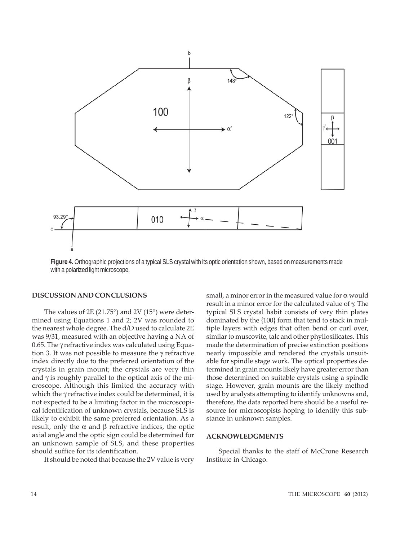

**Figure 4.** Orthographic projections of a typical SLS crystal with its optic orientation shown, based on measurements made with a polarized light microscope.

#### **DISCUSSION AND CONCLUSIONS**

The values of  $2E(21.75^{\circ})$  and  $2V(15^{\circ})$  were determined using Equations 1 and 2; 2V was rounded to the nearest whole degree. The d/D used to calculate 2E was 9/31, measured with an objective having a NA of 0.65. The γ refractive index was calculated using Equation 3. It was not possible to measure the γ refractive index directly due to the preferred orientation of the crystals in grain mount; the crystals are very thin and  $\gamma$  is roughly parallel to the optical axis of the microscope. Although this limited the accuracy with which the γ refractive index could be determined, it is not expected to be a limiting factor in the microscopical identification of unknown crystals, because SLS is likely to exhibit the same preferred orientation. As a result, only the  $\alpha$  and  $\beta$  refractive indices, the optic axial angle and the optic sign could be determined for an unknown sample of SLS, and these properties should suffice for its identification.

It should be noted that because the 2V value is very

small, a minor error in the measured value for  $\alpha$  would result in a minor error for the calculated value of γ. The typical SLS crystal habit consists of very thin plates dominated by the {100} form that tend to stack in multiple layers with edges that often bend or curl over, similar to muscovite, talc and other phyllosilicates. This made the determination of precise extinction positions nearly impossible and rendered the crystals unsuitable for spindle stage work. The optical properties determined in grain mounts likely have greater error than those determined on suitable crystals using a spindle stage. However, grain mounts are the likely method used by analysts attempting to identify unknowns and, therefore, the data reported here should be a useful resource for microscopists hoping to identify this substance in unknown samples.

## **ACKNOWLEDGMENTS**

Special thanks to the staff of McCrone Research Institute in Chicago.